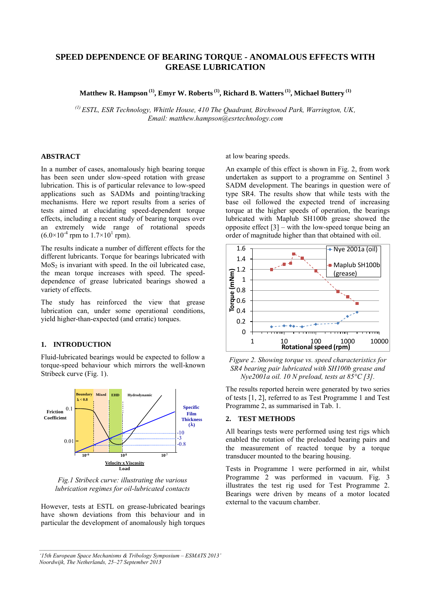# **SPEED DEPENDENCE OF BEARING TORQUE - ANOMALOUS EFFECTS WITH GREASE LUBRICATION**

**Matthew R. Hampson (1) , Emyr W. Roberts (1) , Richard B. Watters(1) , Michael Buttery (1)**

*(1) ESTL, ESR Technology, Whittle House, 410 The Quadrant, Birchwood Park, Warrington, UK, Email: matthew.hampson@esrtechnology.com* 

# **ABSTRACT**

In a number of cases, anomalously high bearing torque has been seen under slow-speed rotation with grease lubrication. This is of particular relevance to low-speed applications such as SADMs and pointing/tracking mechanisms. Here we report results from a series of tests aimed at elucidating speed-dependent torque effects, including a recent study of bearing torques over an extremely wide range of rotational speeds  $(6.0 \times 10^{-4} \text{ rpm to } 1.7 \times 10^{1} \text{ rpm}).$ 

The results indicate a number of different effects for the different lubricants. Torque for bearings lubricated with  $MoS<sub>2</sub>$  is invariant with speed. In the oil lubricated case, the mean torque increases with speed. The speeddependence of grease lubricated bearings showed a variety of effects.

The study has reinforced the view that grease lubrication can, under some operational conditions, yield higher-than-expected (and erratic) torques.

# **1. INTRODUCTION**

Fluid-lubricated bearings would be expected to follow a torque-speed behaviour which mirrors the well-known Stribeck curve (Fig. 1).



*Fig.1 Stribeck curve: illustrating the various lubrication regimes for oil-lubricated contacts* 

However, tests at ESTL on grease-lubricated bearings have shown deviations from this behaviour and in particular the development of anomalously high torques

 $\mathcal{L}_\mathcal{L} = \{ \mathcal{L}_\mathcal{L} = \{ \mathcal{L}_\mathcal{L} \}$ 

*'15th European Space Mechanisms & Tribology Symposium – ESMATS 2013' Noordwijk, The Netherlands, 25–27 September 2013* 

at low bearing speeds.

An example of this effect is shown in Fig. 2, from work undertaken as support to a programme on Sentinel 3 SADM development. The bearings in question were of type SR4. The results show that while tests with the base oil followed the expected trend of increasing torque at the higher speeds of operation, the bearings lubricated with Maplub SH100b grease showed the opposite effect [3] – with the low-speed torque being an order of magnitude higher than that obtained with oil.



*Figure 2. Showing torque vs. speed characteristics for SR4 bearing pair lubricated with SH100b grease and Nye2001a oil. 10 N preload, tests at 85°C [3].* 

The results reported herein were generated by two series of tests [1, 2], referred to as Test Programme 1 and Test Programme 2, as summarised in Tab. 1.

#### **2. TEST METHODS**

All bearings tests were performed using test rigs which enabled the rotation of the preloaded bearing pairs and the measurement of reacted torque by a torque transducer mounted to the bearing housing.

Tests in Programme 1 were performed in air, whilst Programme 2 was performed in vacuum. Fig. 3 illustrates the test rig used for Test Programme 2. Bearings were driven by means of a motor located external to the vacuum chamber.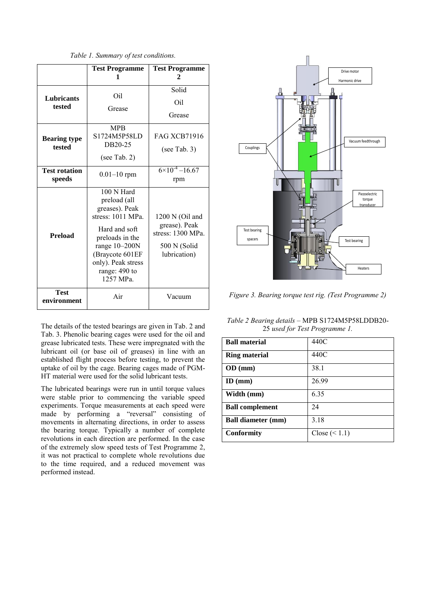*Table 1. Summary of test conditions.* 

|                                | <b>Test Programme</b><br>1                                                                                                                                                                      | <b>Test Programme</b><br>2                                                            |
|--------------------------------|-------------------------------------------------------------------------------------------------------------------------------------------------------------------------------------------------|---------------------------------------------------------------------------------------|
| <b>Lubricants</b><br>tested    | Oil<br>Grease                                                                                                                                                                                   | Solid<br>Oil<br>Grease                                                                |
| <b>Bearing type</b><br>tested  | <b>MPB</b><br>S1724M5P58LD<br>DB20-25<br>(see Tab. 2)                                                                                                                                           | <b>FAG XCB71916</b><br>(see Tab. $3)$                                                 |
| <b>Test rotation</b><br>speeds | $0.01 - 10$ rpm                                                                                                                                                                                 | $6 \times 10^{-4} - 16.67$<br>rpm                                                     |
| Preload                        | 100 N Hard<br>preload (all<br>greases). Peak<br>stress: 1011 MPa.<br>Hard and soft<br>preloads in the<br>range $10-200N$<br>(Braycote 601EF<br>only). Peak stress<br>range: 490 to<br>1257 MPa. | 1200 N (Oil and<br>grease). Peak<br>stress: 1300 MPa.<br>500 N (Solid<br>lubrication) |
| <b>Test</b><br>environment     | Air                                                                                                                                                                                             | Vacuum                                                                                |

The details of the tested bearings are given in Tab. 2 and Tab. 3. Phenolic bearing cages were used for the oil and grease lubricated tests. These were impregnated with the lubricant oil (or base oil of greases) in line with an established flight process before testing, to prevent the uptake of oil by the cage. Bearing cages made of PGM-HT material were used for the solid lubricant tests.

The lubricated bearings were run in until torque values were stable prior to commencing the variable speed experiments. Torque measurements at each speed were made by performing a "reversal" consisting of movements in alternating directions, in order to assess the bearing torque. Typically a number of complete revolutions in each direction are performed. In the case of the extremely slow speed tests of Test Programme 2, it was not practical to complete whole revolutions due to the time required, and a reduced movement was performed instead.



*Figure 3. Bearing torque test rig. (Test Programme 2)*

*Table 2 Bearing details –* MPB S1724M5P58LDDB20- 25 *used for Test Programme 1.*

| <b>Ball material</b>      | 440C            |
|---------------------------|-----------------|
| <b>Ring material</b>      | 440C            |
| OD (mm)                   | 38.1            |
| $ID$ (mm)                 | 26.99           |
| Width (mm)                | 6.35            |
| <b>Ball complement</b>    | 24              |
| <b>Ball diameter (mm)</b> | 3.18            |
| <b>Conformity</b>         | Close $(< 1.1)$ |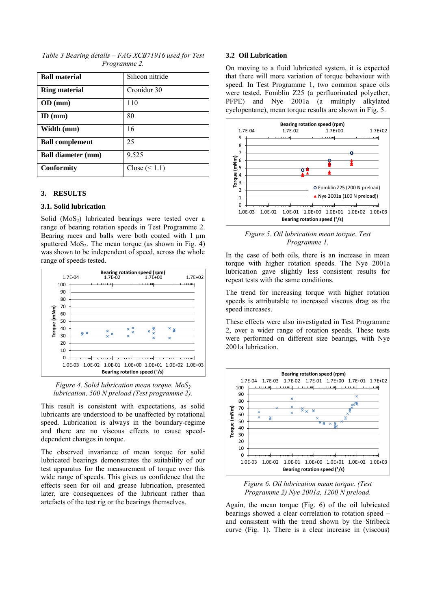| Table 3 Bearing details – FAG XCB71916 used for Test |                     |  |  |
|------------------------------------------------------|---------------------|--|--|
|                                                      | <i>Programme 2.</i> |  |  |

| <b>Ball material</b>      | Silicon nitride |
|---------------------------|-----------------|
| <b>Ring material</b>      | Cronidur 30     |
| OD (mm)                   | 110             |
| $ID$ (mm)                 | 80              |
| Width (mm)                | 16              |
| <b>Ball complement</b>    | 25              |
| <b>Ball diameter (mm)</b> | 9.525           |
| Conformity                | Close $(< 1.1)$ |

### **3. RESULTS**

#### **3.1. Solid lubrication**

Solid  $(MoS<sub>2</sub>)$  lubricated bearings were tested over a range of bearing rotation speeds in Test Programme 2. Bearing races and balls were both coated with 1  $\mu$ m sputtered  $MoS<sub>2</sub>$ . The mean torque (as shown in Fig. 4) was shown to be independent of speed, across the whole range of speeds tested.



*Figure 4. Solid lubrication mean torque. MoS<sup>2</sup> lubrication, 500 N preload (Test programme 2).*

This result is consistent with expectations, as solid lubricants are understood to be unaffected by rotational speed. Lubrication is always in the boundary-regime and there are no viscous effects to cause speeddependent changes in torque.

The observed invariance of mean torque for solid lubricated bearings demonstrates the suitability of our test apparatus for the measurement of torque over this wide range of speeds. This gives us confidence that the effects seen for oil and grease lubrication, presented later, are consequences of the lubricant rather than artefacts of the test rig or the bearings themselves.

#### **3.2 Oil Lubrication**

On moving to a fluid lubricated system, it is expected that there will more variation of torque behaviour with speed. In Test Programme 1, two common space oils were tested, Fomblin Z25 (a perfluorinated polyether, PFPE) and Nye 2001a (a multiply alkylated cyclopentane), mean torque results are shown in Fig. 5.



*Figure 5. Oil lubrication mean torque. Test Programme 1.* 

In the case of both oils, there is an increase in mean torque with higher rotation speeds. The Nye 2001a lubrication gave slightly less consistent results for repeat tests with the same conditions.

The trend for increasing torque with higher rotation speeds is attributable to increased viscous drag as the speed increases.

These effects were also investigated in Test Programme 2, over a wider range of rotation speeds. These tests were performed on different size bearings, with Nye 2001a lubrication.



*Figure 6. Oil lubrication mean torque. (Test Programme 2) Nye 2001a, 1200 N preload.* 

Again, the mean torque (Fig. 6) of the oil lubricated bearings showed a clear correlation to rotation speed – and consistent with the trend shown by the Stribeck curve (Fig. 1). There is a clear increase in (viscous)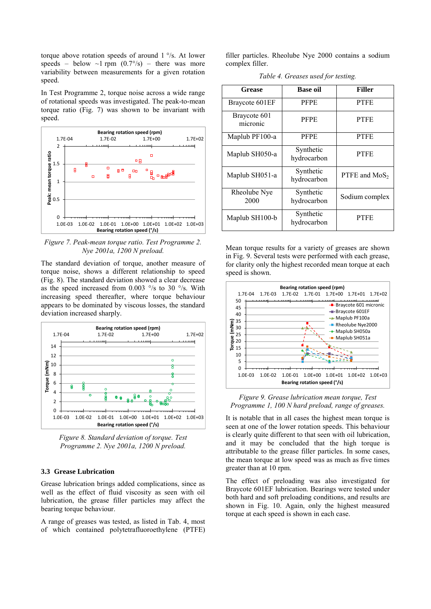torque above rotation speeds of around 1 °/s. At lower speeds – below  $\sim$ 1 rpm (0.7°/s) – there was more variability between measurements for a given rotation speed.

In Test Programme 2, torque noise across a wide range of rotational speeds was investigated. The peak-to-mean torque ratio (Fig. 7) was shown to be invariant with speed.



*Figure 7. Peak-mean torque ratio. Test Programme 2. Nye 2001a, 1200 N preload.* 

The standard deviation of torque, another measure of torque noise, shows a different relationship to speed (Fig. 8). The standard deviation showed a clear decrease as the speed increased from 0.003 °/s to 30 °/s. With increasing speed thereafter, where torque behaviour appears to be dominated by viscous losses, the standard deviation increased sharply.



*Figure 8. Standard deviation of torque. Test Programme 2. Nye 2001a, 1200 N preload.* 

# **3.3 Grease Lubrication**

Grease lubrication brings added complications, since as well as the effect of fluid viscosity as seen with oil lubrication, the grease filler particles may affect the bearing torque behaviour.

A range of greases was tested, as listed in Tab. 4, most of which contained polytetrafluoroethylene (PTFE) filler particles. Rheolube Nye 2000 contains a sodium complex filler.

*Table 4. Greases used for testing.* 

| <b>Grease</b>            | <b>Base oil</b>          | <b>Filler</b>   |  |
|--------------------------|--------------------------|-----------------|--|
| Braycote 601EF           | <b>PFPE</b>              | <b>PTFE</b>     |  |
| Braycote 601<br>micronic | <b>PFPE</b>              | <b>PTFE</b>     |  |
| Maplub PF100-a           | <b>PFPE</b>              | <b>PTFE</b>     |  |
| Maplub SH050-a           | Synthetic<br>hydrocarbon | <b>PTFE</b>     |  |
| Maplub SH051-a           | Synthetic<br>hydrocarbon | PTFE and $MoS2$ |  |
| Rheolube Nye<br>2000     | Synthetic<br>hydrocarbon | Sodium complex  |  |
| Maplub SH100-b           | Synthetic<br>hydrocarbon | <b>PTFE</b>     |  |

Mean torque results for a variety of greases are shown in Fig. 9. Several tests were performed with each grease, for clarity only the highest recorded mean torque at each speed is shown.





It is notable that in all cases the highest mean torque is seen at one of the lower rotation speeds. This behaviour is clearly quite different to that seen with oil lubrication, and it may be concluded that the high torque is attributable to the grease filler particles. In some cases, the mean torque at low speed was as much as five times greater than at 10 rpm.

The effect of preloading was also investigated for Braycote 601EF lubrication. Bearings were tested under both hard and soft preloading conditions, and results are shown in Fig. 10. Again, only the highest measured torque at each speed is shown in each case.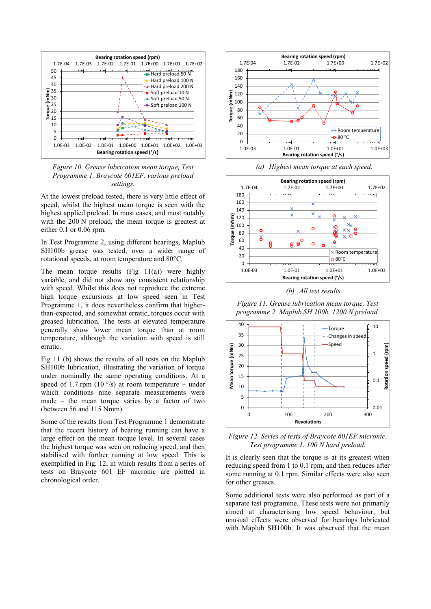

*Figure 10. Grease lubrication mean torque, Test Programme 1, Braycote 601EF, various preload settings.*

At the lowest preload tested, there is very little effect of speed, whilst the highest mean torque is seen with the highest applied preload. In most cases, and most notably with the 200 N preload, the mean torque is greatest at either 0.1 or 0.06 rpm.

In Test Programme 2, using different bearings, Maplub SH100b grease was tested, over a wider range of rotational speeds, at room temperature and 80°C.

The mean torque results  $(Fig 11(a))$  were highly variable, and did not show any consistent relationship with speed. Whilst this does not reproduce the extreme high torque excursions at low speed seen in Test Programme 1, it does nevertheless confirm that higherthan-expected, and somewhat erratic, torques occur with greased lubrication. The tests at elevated temperature generally show lower mean torque than at room temperature, although the variation with speed is still erratic.

Fig 11 (b) shows the results of all tests on the Maplub SH100b lubrication, illustrating the variation of torque under nominally the same operating conditions. At a speed of 1.7 rpm (10  $\degree$ /s) at room temperature – under which conditions nine separate measurements were made – the mean torque varies by a factor of two (between 56 and 115 Nmm).

Some of the results from Test Programme 1 demonstrate that the recent history of bearing running can have a large effect on the mean torque level. In several cases the highest torque was seen on reducing speed, and then stabilised with further running at low speed. This is exemplified in Fig. 12, in which results from a series of tests on Braycote 601 EF micronic are plotted in chronological order.







*(b) All test results.*

*Figure 11. Grease lubrication mean torque. Test programme 2. Maplub SH 100b, 1200 N preload.*



*Figure 12. Series of tests of Braycote 601EF micronic. Test programme 1. 100 N hard preload.*

It is clearly seen that the torque is at its greatest when reducing speed from 1 to 0.1 rpm, and then reduces after some running at 0.1 rpm. Similar effects were also seen for other greases.

Some additional tests were also performed as part of a separate test programme. These tests were not primarily aimed at characterising low speed behaviour, but unusual effects were observed for bearings lubricated with Maplub SH100b. It was observed that the mean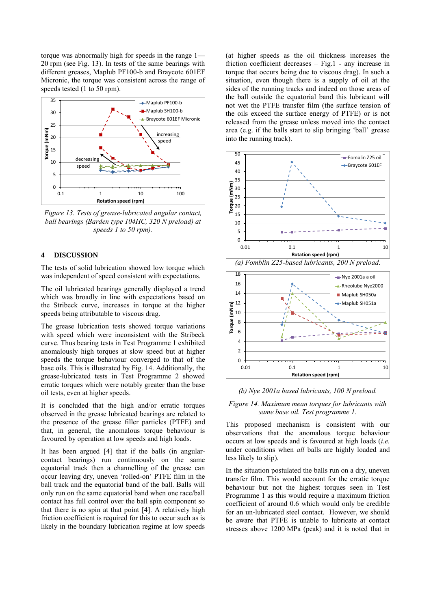torque was abnormally high for speeds in the range 1— 20 rpm (see Fig. 13). In tests of the same bearings with different greases, Maplub PF100-b and Braycote 601EF Micronic, the torque was consistent across the range of speeds tested (1 to 50 rpm).



*Figure 13. Tests of grease-lubricated angular contact, ball bearings (Barden type 104HC, 320 N preload) at speeds 1 to 50 rpm).* 

#### **4 DISCUSSION**

The tests of solid lubrication showed low torque which was independent of speed consistent with expectations.

The oil lubricated bearings generally displayed a trend which was broadly in line with expectations based on the Stribeck curve, increases in torque at the higher speeds being attributable to viscous drag.

The grease lubrication tests showed torque variations with speed which were inconsistent with the Stribeck curve. Thus bearing tests in Test Programme 1 exhibited anomalously high torques at slow speed but at higher speeds the torque behaviour converged to that of the base oils. This is illustrated by Fig. 14. Additionally, the grease-lubricated tests in Test Programme 2 showed erratic torques which were notably greater than the base oil tests, even at higher speeds.

It is concluded that the high and/or erratic torques observed in the grease lubricated bearings are related to the presence of the grease filler particles (PTFE) and that, in general, the anomalous torque behaviour is favoured by operation at low speeds and high loads.

It has been argued [4] that if the balls (in angularcontact bearings) run continuously on the same equatorial track then a channelling of the grease can occur leaving dry, uneven 'rolled-on' PTFE film in the ball track and the equatorial band of the ball. Balls will only run on the same equatorial band when one race/ball contact has full control over the ball spin component so that there is no spin at that point [4]. A relatively high friction coefficient is required for this to occur such as is likely in the boundary lubrication regime at low speeds

(at higher speeds as the oil thickness increases the friction coefficient decreases – Fig.1 - any increase in torque that occurs being due to viscous drag). In such a situation, even though there is a supply of oil at the sides of the running tracks and indeed on those areas of the ball outside the equatorial band this lubricant will not wet the PTFE transfer film (the surface tension of the oils exceed the surface energy of PTFE) or is not released from the grease unless moved into the contact area (e.g. if the balls start to slip bringing 'ball' grease into the running track).







*Figure 14. Maximum mean torques for lubricants with same base oil. Test programme 1.*

This proposed mechanism is consistent with our observations that the anomalous torque behaviour occurs at low speeds and is favoured at high loads (*i.e.* under conditions when *all* balls are highly loaded and less likely to slip).

In the situation postulated the balls run on a dry, uneven transfer film. This would account for the erratic torque behaviour but not the highest torques seen in Test Programme 1 as this would require a maximum friction coefficient of around 0.6 which would only be credible for an un-lubricated steel contact. However, we should be aware that PTFE is unable to lubricate at contact stresses above 1200 MPa (peak) and it is noted that in